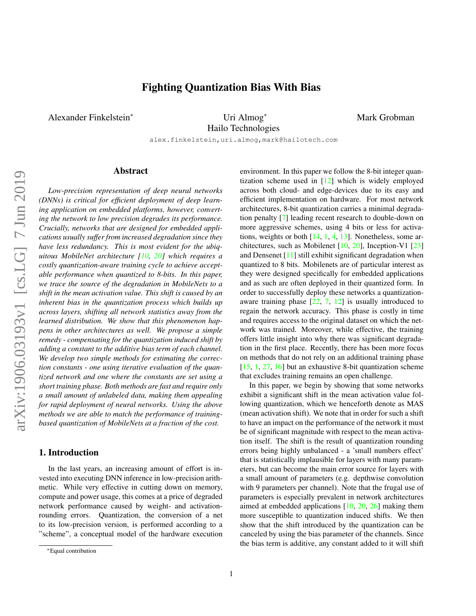# Fighting Quantization Bias With Bias

<span id="page-0-0"></span>Alexander Finkelstein<sup>∗</sup> Uri Almog<sup>∗</sup>

Hailo Technologies

Mark Grobman

alex.finkelstein,uri.almog,mark@hailotech.com

## Abstract

*Low-precision representation of deep neural networks (DNNs) is critical for efficient deployment of deep learning application on embedded platforms, however, converting the network to low precision degrades its performance. Crucially, networks that are designed for embedded applications usually suffer from increased degradation since they have less redundancy. This is most evident for the ubiquitous MobileNet architecture [\[10,](#page-7-0) [20\]](#page-7-1) which requires a costly quantization-aware training cycle to achieve acceptable performance when quantized to 8-bits. In this paper, we trace the source of the degradation in MobileNets to a shift in the mean activation value. This shift is caused by an inherent bias in the quantization process which builds up across layers, shifting all network statistics away from the learned distribution. We show that this phenomenon happens in other architectures as well. We propose a simple remedy - compensating for the quantization induced shift by adding a constant to the additive bias term of each channel. We develop two simple methods for estimating the correction constants - one using iterative evaluation of the quantized network and one where the constants are set using a short training phase. Both methods are fast and require only a small amount of unlabeled data, making them appealing for rapid deployment of neural networks. Using the above methods we are able to match the performance of trainingbased quantization of MobileNets at a fraction of the cost.*

### 1. Introduction

In the last years, an increasing amount of effort is invested into executing DNN inference in low-precision arithmetic. While very effective in cutting down on memory, compute and power usage, this comes at a price of degraded network performance caused by weight- and activationrounding errors. Quantization, the conversion of a net to its low-precision version, is performed according to a "scheme", a conceptual model of the hardware execution environment. In this paper we follow the 8-bit integer quantization scheme used in [\[12\]](#page-7-2) which is widely employed across both cloud- and edge-devices due to its easy and efficient implementation on hardware. For most network architectures, 8-bit quantization carries a minimal degradation penalty [\[7\]](#page-7-3) leading recent research to double-down on more aggressive schemes, using 4 bits or less for activations, weights or both [\[14,](#page-7-4) [1,](#page-7-5) [4,](#page-7-6) [13\]](#page-7-7). Nonetheless, some architectures, such as Mobilenet  $[10, 20]$  $[10, 20]$  $[10, 20]$ , Inception-V1  $[23]$ and Densenet [\[11\]](#page-7-9) still exhibit significant degradation when quantized to 8 bits. Mobilenets are of particular interest as they were designed specifically for embedded applications and as such are often deployed in their quantized form. In order to successfully deploy these networks a quantizationaware training phase  $[22, 7, 12]$  $[22, 7, 12]$  $[22, 7, 12]$  $[22, 7, 12]$  $[22, 7, 12]$  is usually introduced to regain the network accuracy. This phase is costly in time and requires access to the original dataset on which the network was trained. Moreover, while effective, the training offers little insight into why there was significant degradation in the first place. Recently, there has been more focus on methods that do not rely on an additional training phase [\[15,](#page-7-11) [1,](#page-7-5) [27,](#page-8-0) [16\]](#page-7-12) but an exhaustive 8-bit quantization scheme that excludes training remains an open challenge.

In this paper, we begin by showing that some networks exhibit a significant shift in the mean activation value following quantization, which we henceforth denote as MAS (mean activation shift). We note that in order for such a shift to have an impact on the performance of the network it must be of significant magnitude with respect to the mean activation itself. The shift is the result of quantization rounding errors being highly unbalanced - a 'small numbers effect' that is statistically implausible for layers with many parameters, but can become the main error source for layers with a small amount of parameters (e.g. depthwise convolution with 9 parameters per channel). Note that the frugal use of parameters is especially prevalent in network architectures aimed at embedded applications [\[10,](#page-7-0) [20,](#page-7-1) [26\]](#page-8-1) making them more susceptible to quantization induced shifts. We then show that the shift introduced by the quantization can be canceled by using the bias parameter of the channels. Since the bias term is additive, any constant added to it will shift

<sup>∗</sup>Equal contribution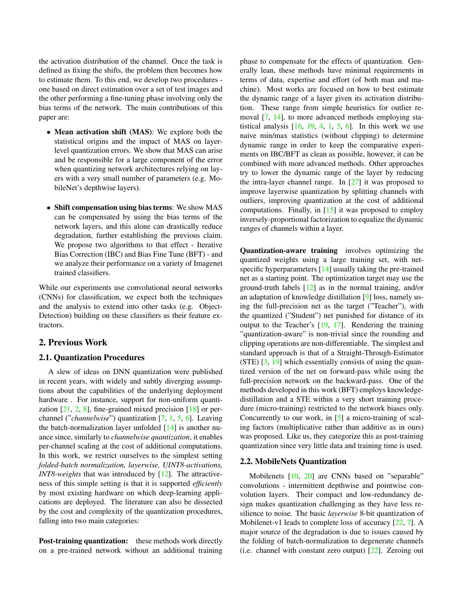<span id="page-1-0"></span>the activation distribution of the channel. Once the task is defined as fixing the shifts, the problem then becomes how to estimate them. To this end, we develop two procedures one based on direct estimation over a set of test images and the other performing a fine-tuning phase involving only the bias terms of the network. The main contributions of this paper are:

- Mean activation shift (MAS): We explore both the statistical origins and the impact of MAS on layerlevel quantization errors. We show that MAS can arise and be responsible for a large component of the error when quantizing network architectures relying on layers with a very small number of parameters (e.g. MobileNet's depthwise layers).
- Shift compensation using bias terms: We show MAS can be compensated by using the bias terms of the network layers, and this alone can drastically reduce degradation, further establishing the previous claim. We propose two algorithms to that effect - Iterative Bias Correction (IBC) and Bias Fine Tune (BFT) - and we analyze their performance on a variety of Imagenet trained classifiers.

While our experiments use convolutional neural networks (CNNs) for classification, we expect both the techniques and the analysis to extend into other tasks (e.g. Object-Detection) building on these classifiers as their feature extractors.

### 2. Previous Work

#### 2.1. Quantization Procedures

A slew of ideas on DNN quantization were published in recent years, with widely and subtly diverging assumptions about the capabilities of the underlying deployment hardware. For instance, support for non-uniform quantization  $[21, 2, 8]$  $[21, 2, 8]$  $[21, 2, 8]$  $[21, 2, 8]$  $[21, 2, 8]$ , fine-grained mixed precision  $[18]$  or perchannel ("*channelwise*") quantization [\[7,](#page-7-3) [1,](#page-7-5) [5,](#page-7-17) [6\]](#page-7-18). Leaving the batch-normalization layer unfolded [\[14\]](#page-7-4) is another nuance since, similarly to *channelwise quantization*, it enables per-channel scaling at the cost of additional computations. In this work, we restrict ourselves to the simplest setting *folded-batch normalization, layerwise, UINT8-activations, INT8-weights* that was introduced by [\[12\]](#page-7-2). The attractiveness of this simple setting is that it is supported *efficiently* by most existing hardware on which deep-learning applications are deployed. The literature can also be dissected by the cost and complexity of the quantization procedures, falling into two main categories:

Post-training quantization: these methods work directly on a pre-trained network without an additional training phase to compensate for the effects of quantization. Generally lean, these methods have minimal requirements in terms of data, expertise and effort (of both man and machine). Most works are focused on how to best estimate the dynamic range of a layer given its activation distribution. These range from simple heuristics for outlier removal [\[7,](#page-7-3) [14\]](#page-7-4), to more advanced methods employing statistical analysis  $[16, 19, 4, 1, 5, 6]$  $[16, 19, 4, 1, 5, 6]$  $[16, 19, 4, 1, 5, 6]$  $[16, 19, 4, 1, 5, 6]$  $[16, 19, 4, 1, 5, 6]$  $[16, 19, 4, 1, 5, 6]$  $[16, 19, 4, 1, 5, 6]$  $[16, 19, 4, 1, 5, 6]$  $[16, 19, 4, 1, 5, 6]$  $[16, 19, 4, 1, 5, 6]$  $[16, 19, 4, 1, 5, 6]$ . In this work we use naive min/max statistics (without clipping) to determine dynamic range in order to keep the comparative experiments on IBC/BFT as clean as possible, however, it can be combined with more advanced methods. Other approaches try to lower the dynamic range of the layer by reducing the intra-layer channel range. In  $[27]$  it was proposed to improve layerwise quantization by splitting channels with outliers, improving quantization at the cost of additional computations. Finally, in  $[15]$  it was proposed to employ inversely-proportional factorization to equalize the dynamic ranges of channels within a layer.

Quantization-aware training involves optimizing the quantized weights using a large training set, with netspecific hyperparameters [\[14\]](#page-7-4) usually taking the pre-trained net as a starting point. The optimization target may use the ground-truth labels [\[12\]](#page-7-2) as in the normal training, and/or an adaptation of knowledge distillation [\[9\]](#page-7-20) loss, namely using the full-precision net as the target ("Teacher"), with the quantized ("Student") net punished for distance of its output to the Teacher's [\[19,](#page-7-19) [17\]](#page-7-21). Rendering the training "quantization-aware" is non-trivial since the rounding and clipping operations are non-differentiable. The simplest and standard approach is that of a Straight-Through-Estimator (STE) [\[3,](#page-7-22) [19\]](#page-7-19) which essentially consists of using the quantized version of the net on forward-pass while using the full-precision network on the backward-pass. One of the methods developed in this work (BFT) employs knowledgedistillation and a STE within a very short training procedure (micro-training) restricted to the network biases only. Concurrently to our work, in [\[5\]](#page-7-17) a micro-training of scaling factors (multiplicative rather than additive as in ours) was proposed. Like us, they categorize this as post-training quantization since very little data and training time is used.

#### 2.2. MobileNets Quantization

Mobilenets [\[10,](#page-7-0) [20\]](#page-7-1) are CNNs based on "separable" convolutions - intermittent depthwise and pointwise convolution layers. Their compact and low-redundancy design makes quantization challenging as they have less resilience to noise. The basic *layerwise* 8-bit quantization of Mobilenet-v1 leads to complete loss of accuracy [\[22,](#page-7-10) [7\]](#page-7-3). A major source of the degradation is due to issues caused by the folding of batch-normalization to degenerate channels (i.e. channel with constant zero output) [\[22\]](#page-7-10). Zeroing out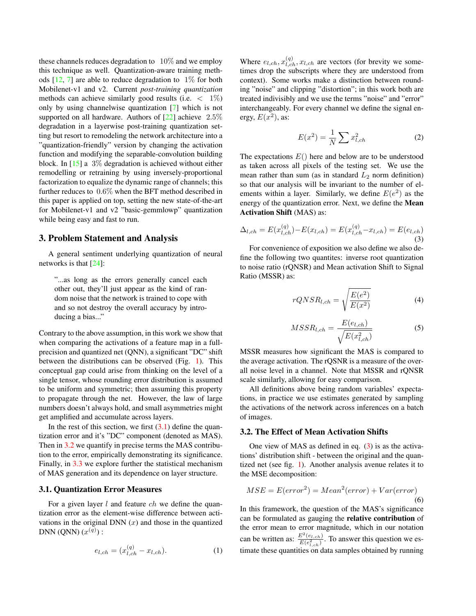<span id="page-2-7"></span>these channels reduces degradation to  $10\%$  and we employ this technique as well. Quantization-aware training methods  $[12, 7]$  $[12, 7]$  $[12, 7]$  are able to reduce degradation to  $1\%$  for both Mobilenet-v1 and v2. Current *post-training quantization* methods can achieve similarly good results (i.e.  $\langle 1\% \rangle$ ) only by using channelwise quantization [\[7\]](#page-7-3) which is not supported on all hardware. Authors of  $[22]$  achieve  $2.5\%$ degradation in a layerwise post-training quantization setting but resort to remodeling the network architecture into a "quantization-friendly" version by changing the activation function and modifying the separable-convolution building block. In  $[15]$  a 3% degradation is achieved without either remodelling or retraining by using inversely-proportional factorization to equalize the dynamic range of channels; this further reduces to 0.6% when the BFT method described in this paper is applied on top, setting the new state-of-the-art for Mobilenet-v1 and v2 "basic-gemmlowp" quantization while being easy and fast to run.

#### <span id="page-2-6"></span>3. Problem Statement and Analysis

A general sentiment underlying quantization of neural networks is that [\[24\]](#page-7-23):

"...as long as the errors generally cancel each other out, they'll just appear as the kind of random noise that the network is trained to cope with and so not destroy the overall accuracy by introducing a bias..."

Contrary to the above assumption, in this work we show that when comparing the activations of a feature map in a fullprecision and quantized net (QNN), a significant "DC" shift between the distributions can be observed (Fig. [1\)](#page-3-0). This conceptual gap could arise from thinking on the level of a single tensor, whose rounding error distribution is assumed to be uniform and symmetric; then assuming this property to propagate through the net. However, the law of large numbers doesn't always hold, and small asymmetries might get amplified and accumulate across layers.

In the rest of this section, we first  $(3.1)$  define the quantization error and it's "DC" component (denoted as MAS). Then in [3.2](#page-2-1) we quantify in precise terms the MAS contribution to the error, empirically demonstrating its significance. Finally, in [3.3](#page-3-1) we explore further the statistical mechanism of MAS generation and its dependence on layer structure.

#### <span id="page-2-0"></span>3.1. Quantization Error Measures

For a given layer  $l$  and feature  $ch$  we define the quantization error as the element-wise difference between activations in the original DNN  $(x)$  and those in the quantized DNN (QNN)  $(x^{(q)})$  :

<span id="page-2-4"></span>
$$
e_{l,ch} = (x_{l,ch}^{(q)} - x_{l,ch}).
$$
\n(1)

Where  $e_{l,ch}$ ,  $x_{l,ch}^{(q)}$ ,  $x_{l,ch}$  are vectors (for brevity we sometimes drop the subscripts where they are understood from context). Some works make a distinction between rounding "noise" and clipping "distortion"; in this work both are treated indivisibly and we use the terms "noise" and "error" interchangeably. For every channel we define the signal energy,  $E(x^2)$ , as:

$$
E(x^2) = \frac{1}{N} \sum x_{l,ch}^2
$$
 (2)

The expectations  $E()$  here and below are to be understood as taken across all pixels of the testing set. We use the mean rather than sum (as in standard  $L_2$  norm definition) so that our analysis will be invariant to the number of elements within a layer. Similarly, we define  $E(e^2)$  as the energy of the quantization error. Next, we define the Mean Activation Shift (MAS) as:

<span id="page-2-2"></span>
$$
\Delta_{l,ch} = E(x_{l,ch}^{(q)}) - E(x_{l,ch}) = E(x_{l,ch}^{(q)} - x_{l,ch}) = E(e_{l,ch})
$$
\n(3)

For convenience of exposition we also define we also define the following two quantites: inverse root quantization to noise ratio (rQNSR) and Mean activation Shift to Signal Ratio (MSSR) as:

$$
rQNSR_{l,ch} = \sqrt{\frac{E(e^2)}{E(x^2)}}
$$
\n(4)

<span id="page-2-5"></span>
$$
MSSR_{l,ch} = \frac{E(e_{l,ch})}{\sqrt{E(x_{l,ch}^2)}}
$$
(5)

MSSR measures how significant the MAS is compared to the average activation. The rQSNR is a measure of the overall noise level in a channel. Note that MSSR and rQNSR scale similarly, allowing for easy comparison.

All definitions above being random variables' expectations, in practice we use estimates generated by sampling the activations of the network across inferences on a batch of images.

#### <span id="page-2-1"></span>3.2. The Effect of Mean Activation Shifts

One view of MAS as defined in eq.  $(3)$  is as the activations' distribution shift - between the original and the quantized net (see fig. [1\)](#page-3-0). Another analysis avenue relates it to the MSE decomposition:

<span id="page-2-3"></span>
$$
MSE = E(error2) = Mean2(error) + Var(error)
$$
\n(6)

In this framework, the question of the MAS's significance can be formulated as gauging the relative contribution of the error mean to error magnitude, which in our notation can be written as:  $\frac{E^2(e_{l,ch})}{E(e^2)}$  $\frac{E(e_l, ch)}{E(e_{l, ch}^2)}$ . To answer this question we estimate these quantities on data samples obtained by running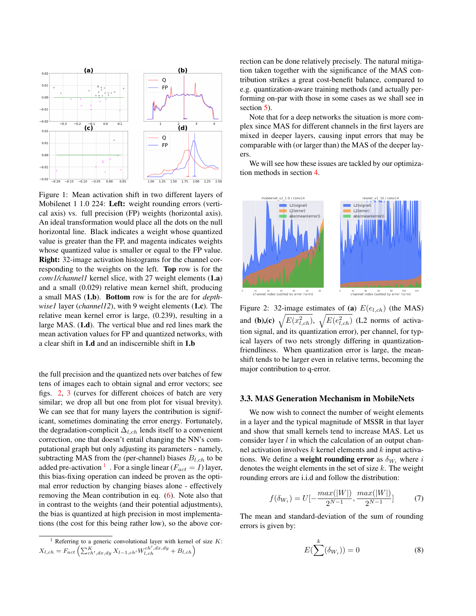<span id="page-3-0"></span>

Figure 1: Mean activation shift in two different layers of Mobilenet 1 1.0 224: Left: weight rounding errors (vertical axis) vs. full precision (FP) weights (horizontal axis). An ideal transformation would place all the dots on the null horizontal line. Black indicates a weight whose quantized value is greater than the FP, and magenta indicates weights whose quantized value is smaller or equal to the FP value. Right: 32-image activation histograms for the channel corresponding to the weights on the left. Top row is for the *conv1/channel1* kernel slice, with 27 weight elements (1.a) and a small (0.029) relative mean kernel shift, producing a small MAS (1.b). Bottom row is for the are for *depthwise1* layer (*channel12*), with 9 weight elements (1.c). The relative mean kernel error is large, (0.239), resulting in a large MAS. (1.d). The vertical blue and red lines mark the mean activation values for FP and quantized networks, with a clear shift in 1.d and an indiscernible shift in 1.b

the full precision and the quantized nets over batches of few tens of images each to obtain signal and error vectors; see figs. [2,](#page-3-2) [3](#page-4-0) (curves for different choices of batch are very similar; we drop all but one from plot for visual brevity). We can see that for many layers the contribution is significant, sometimes dominating the error energy. Fortunately, the degradation-complicit  $\Delta_{l,ch}$  lends itself to a convenient correction, one that doesn't entail changing the NN's computational graph but only adjusting its parameters - namely, subtracting MAS from the (per-channel) biases  $B_{l,ch}$  to be added pre-activation <sup>[1](#page-3-3)</sup> . For a single linear ( $F_{act} = I$ ) layer, this bias-fixing operation can indeed be proven as the optimal error reduction by changing biases alone - effectively removing the Mean contribution in eq. [\(6\)](#page-2-3). Note also that in contrast to the weights (and their potential adjustments), the bias is quantized at high precision in most implementations (the cost for this being rather low), so the above correction can be done relatively precisely. The natural mitigation taken together with the significance of the MAS contribution strikes a great cost-benefit balance, compared to e.g. quantization-aware training methods (and actually performing on-par with those in some cases as we shall see in section [5\)](#page-5-0).

Note that for a deep networks the situation is more complex since MAS for different channels in the first layers are mixed in deeper layers, causing input errors that may be comparable with (or larger than) the MAS of the deeper layers.

We will see how these issues are tackled by our optimization methods in section [4.](#page-5-1)

<span id="page-3-2"></span>

Figure 2: 32-image estimates of (a)  $E(e_{l,ch})$  (the MAS) and (b),(c)  $\sqrt{E(x_{l,ch}^2)}$ ,  $\sqrt{E(e_{l,ch}^2)}$  (L2 norms of activation signal, and its quantization error), per channel, for typical layers of two nets strongly differing in quantizationfriendliness. When quantization error is large, the meanshift tends to be larger even in relative terms, becoming the major contribution to q-error.

### <span id="page-3-1"></span>3.3. MAS Generation Mechanism in MobileNets

We now wish to connect the number of weight elements in a layer and the typical magnitude of MSSR in that layer and show that small kernels tend to increase MAS. Let us consider layer  $l$  in which the calculation of an output channel activation involves  $k$  kernel elements and  $k$  input activations. We define a **weight rounding error** as  $\delta_{W_i}$  where i denotes the weight elements in the set of size  $k$ . The weight rounding errors are i.i.d and follow the distribution:

$$
f(\delta_{W_i}) = U[-\frac{max(|W|)}{2^{N-1}}, \frac{max(|W|)}{2^{N-1}}]
$$
 (7)

The mean and standard-deviation of the sum of rounding errors is given by:

$$
E(\sum^{k}(\delta_{W_{i}})) = 0
$$
 (8)

<span id="page-3-3"></span><sup>&</sup>lt;sup>1</sup> Referring to a generic convolutional layer with kernel of size  $K$ :  $X_{l,ch}=F_{act}\left(\sum_{ch',dx,dy}^{K}X_{l-1,ch'}W_{l,ch}^{ch',dx,dy}+B_{l,ch}\right)$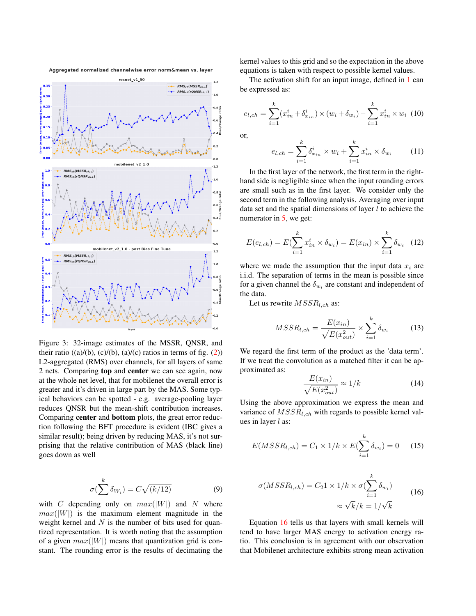<span id="page-4-0"></span>



Figure 3: 32-image estimates of the MSSR, QNSR, and their ratio  $((a)/(b), (c)/(b), (a)/(c)$  ratios in terms of fig.  $(2)$ ) L2-aggregated (RMS) over channels, for all layers of same 2 nets. Comparing top and center we can see again, now at the whole net level, that for mobilenet the overall error is greater and it's driven in large part by the MAS. Some typical behaviors can be spotted - e.g. average-pooling layer reduces QNSR but the mean-shift contribution increases. Comparing center and bottom plots, the great error reduction following the BFT procedure is evident (IBC gives a similar result); being driven by reducing MAS, it's not surprising that the relative contribution of MAS (black line) goes down as well

$$
\sigma(\sum^{k} \delta_{W_i}) = C\sqrt{(k/12)} \tag{9}
$$

with C depending only on  $max(|W|)$  and N where  $max(|W|)$  is the maximum element magnitude in the weight kernel and  $N$  is the number of bits used for quantized representation. It is worth noting that the assumption of a given  $max(|W|)$  means that quantization grid is constant. The rounding error is the results of decimating the kernel values to this grid and so the expectation in the above equations is taken with respect to possible kernel values.

The activation shift for an input image, defined in [1](#page-2-4) can be expressed as:

$$
e_{l,ch} = \sum_{i=1}^{k} (x_{in}^i + \delta_{x_{in}}^i) \times (w_i + \delta_{w_i}) - \sum_{i=1}^{k} x_{in}^i \times w_i
$$
 (10)

or,

<span id="page-4-2"></span>
$$
e_{l,ch} = \sum_{i=1}^{k} \delta_{x_{in}}^{i} \times w_i + \sum_{i=1}^{k} x_{in}^{i} \times \delta_{w_i}
$$
 (11)

In the first layer of the network, the first term in the righthand side is negligible since when the input rounding errors are small such as in the first layer. We consider only the second term in the following analysis. Averaging over input data set and the spatial dimensions of layer  $l$  to achieve the numerator in [5,](#page-2-5) we get:

$$
E(e_{l,ch}) = E(\sum_{i=1}^{k} x_{in}^{i} \times \delta_{w_i}) = E(x_{in}) \times \sum_{i=1}^{k} \delta_{w_i}
$$
 (12)

where we made the assumption that the input data  $x_i$  are i.i.d. The separation of terms in the mean is possible since for a given channel the  $\delta_{w_i}$  are constant and independent of the data.

Let us rewrite  $MSSR_{l,ch}$  as:

$$
MSSR_{l,ch} = \frac{E(x_{in})}{\sqrt{E(x_{out}^2)}} \times \sum_{i=1}^{k} \delta_{w_i}
$$
 (13)

We regard the first term of the product as the 'data term'. If we treat the convolution as a matched filter it can be approximated as:

<span id="page-4-1"></span>
$$
\frac{E(x_{in})}{\sqrt{E(x_{out}^2)}} \approx 1/k
$$
\n(14)

Using the above approximation we express the mean and variance of  $MSSR_{l,ch}$  with regards to possible kernel values in layer  $l$  as:

$$
E(MSSR_{l,ch}) = C_1 \times 1/k \times E(\sum_{i=1}^{k} \delta_{w_i}) = 0 \quad (15)
$$

$$
\sigma(MSSR_{l,ch}) = C_2 1 \times 1/k \times \sigma(\sum_{i=1}^{k} \delta_{w_i})
$$

$$
\approx \sqrt{k}/k = 1/\sqrt{k}
$$
(16)

Equation [16](#page-4-1) tells us that layers with small kernels will tend to have larger MAS energy to activation energy ratio. This conclusion is in agreement with our observation that Mobilenet architecture exhibits strong mean activation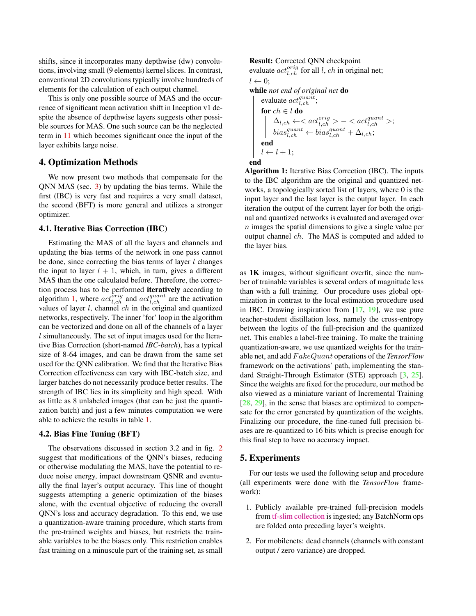<span id="page-5-3"></span>shifts, since it incorporates many depthwise (dw) convolutions, involving small (9 elements) kernel slices. In contrast, conventional 2D convolutions typically involve hundreds of elements for the calculation of each output channel.

This is only one possible source of MAS and the occurrence of significant mean activation shift in Inception v1 despite the absence of depthwise layers suggests other possible sources for MAS. One such source can be the neglected term in [11](#page-4-2) which becomes significant once the input of the layer exhibits large noise.

### <span id="page-5-1"></span>4. Optimization Methods

We now present two methods that compensate for the QNN MAS (sec. [3\)](#page-2-6) by updating the bias terms. While the first (IBC) is very fast and requires a very small dataset, the second (BFT) is more general and utilizes a stronger optimizer.

#### 4.1. Iterative Bias Correction (IBC)

Estimating the MAS of all the layers and channels and updating the bias terms of the network in one pass cannot be done, since correcting the bias terms of layer  $l$  changes the input to layer  $l + 1$ , which, in turn, gives a different MAS than the one calculated before. Therefore, the correction process has to be performed iteratively according to algorithm [1,](#page-5-2) where  $act_{l,ch}^{\hat{orig}}$  and  $act_{l,ch}^{quant}$  are the activation values of layer  $l$ , channel  $ch$  in the original and quantized networks, respectively. The inner 'for' loop in the algorithm can be vectorized and done on all of the channels of a layer l simultaneously. The set of input images used for the Iterative Bias Correction (short-named *IBC-batch*), has a typical size of 8-64 images, and can be drawn from the same set used for the QNN calibration. We find that the Iterative Bias Correction effectiveness can vary with IBC-batch size, and larger batches do not necessarily produce better results. The strength of IBC lies in its simplicity and high speed. With as little as 8 unlabeled images (that can be just the quantization batch) and just a few minutes computation we were able to achieve the results in table [1.](#page-6-0)

#### 4.2. Bias Fine Tuning (BFT)

The observations discussed in section 3.2 and in fig. [2](#page-3-2) suggest that modifications of the QNN's biases, reducing or otherwise modulating the MAS, have the potential to reduce noise energy, impact downstream QSNR and eventually the final layer's output accuracy. This line of thought suggests attempting a generic optimization of the biases alone, with the eventual objective of reducing the overall QNN's loss and accuracy degradation. To this end, we use a quantization-aware training procedure, which starts from the pre-trained weights and biases, but restricts the trainable variables to be the biases only. This restriction enables fast training on a minuscule part of the training set, as small

#### <span id="page-5-2"></span>Result: Corrected QNN checkpoint

end

```
evaluate act_{l, ch}^{orig} for all l, ch in original net;
l \leftarrow 0;
while not end of original net do
      evaluate act_{l,ch}^{quant};
     for ch \in l do
            \Delta_{l,ch}\leftarrow<act_{l,ch}^{orig}>-<act_{l,ch}^{quant}>;bias_{l,ch}^{quant} \leftarrow bias_{l,ch}^{quant} + \Delta_{l,ch};end
    l \leftarrow l + 1;
```
Algorithm 1: Iterative Bias Correction (IBC). The inputs to the IBC algorithm are the original and quantized networks, a topologically sorted list of layers, where 0 is the input layer and the last layer is the output layer. In each iteration the output of the current layer for both the original and quantized networks is evaluated and averaged over  $n$  images the spatial dimensions to give a single value per output channel ch. The MAS is computed and added to the layer bias.

as 1K images, without significant overfit, since the number of trainable variables is several orders of magnitude less than with a full training. Our procedure uses global optmization in contrast to the local estimation procedure used in IBC. Drawing inspiration from [\[17,](#page-7-21) [19\]](#page-7-19), we use pure teacher-student distillation loss, namely the cross-entropy between the logits of the full-precision and the quantized net. This enables a label-free training. To make the training quantization-aware, we use quantized weights for the trainable net, and add F akeQuant operations of the *TensorFlow* framework on the activations' path, implementing the standard Straight-Through Estimator (STE) approach [\[3,](#page-7-22) [25\]](#page-7-24). Since the weights are fixed for the procedure, our method be also viewed as a miniature variant of Incremental Training [\[28,](#page-8-2) [29\]](#page-8-3), in the sense that biases are optimized to compensate for the error generated by quantization of the weights. Finalizing our procedure, the fine-tuned full precision biases are re-quantized to 16 bits which is precise enough for this final step to have no accuracy impact.

### <span id="page-5-0"></span>5. Experiments

For our tests we used the following setup and procedure (all experiments were done with the *TensorFlow* framework):

- 1. Publicly available pre-trained full-precision models from [tf-slim collection](https://github.com/tensorflow/models/tree/master/research/slim) is ingested; any BatchNorm ops are folded onto preceding layer's weights.
- 2. For mobilenets: dead channels (channels with constant output / zero variance) are dropped.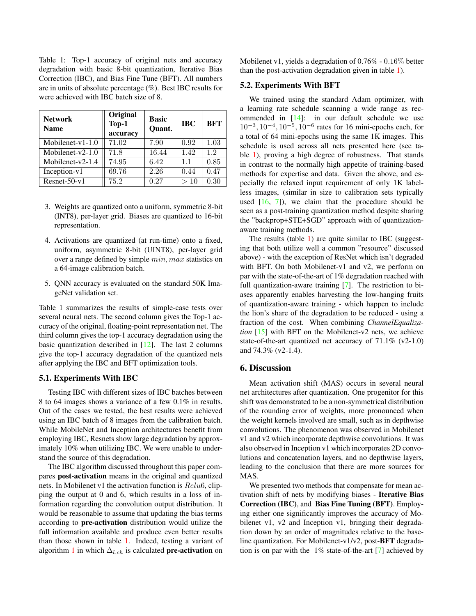<span id="page-6-1"></span><span id="page-6-0"></span>Table 1: Top-1 accuracy of original nets and accuracy degradation with basic 8-bit quantization, Iterative Bias Correction (IBC), and Bias Fine Tune (BFT). All numbers are in units of absolute percentage (%). Best IBC results for were achieved with IBC batch size of 8.

| <b>Network</b><br><b>Name</b> | Original<br>Top-1<br>accuracy | <b>Basic</b><br>Quant. | <b>IBC</b> | <b>BFT</b> |
|-------------------------------|-------------------------------|------------------------|------------|------------|
| Mobilenet- $v1-1.0$           | 71.02                         | 7.90                   | 0.92       | 1.03       |
| Mobilenet- $v2-1.0$           | 71.8                          | 16.44                  | 1.42       | 1.2        |
| Mobilenet- $v2-1.4$           | 74.95                         | 6.42                   | 1.1        | 0.85       |
| Inception-v1                  | 69.76                         | 2.26                   | 0.44       | 0.47       |
| $Resnet-50-v1$                | 75.2                          | 0.27                   | >10        | 0.30       |

- 3. Weights are quantized onto a uniform, symmetric 8-bit (INT8), per-layer grid. Biases are quantized to 16-bit representation.
- 4. Activations are quantized (at run-time) onto a fixed, uniform, asymmetric 8-bit (UINT8), per-layer grid over a range defined by simple min, max statistics on a 64-image calibration batch.
- 5. QNN accuracy is evaluated on the standard 50K ImageNet validation set.

Table 1 summarizes the results of simple-case tests over several neural nets. The second column gives the Top-1 accuracy of the original, floating-point representation net. The third column gives the top-1 accuracy degradation using the basic quantization described in [\[12\]](#page-7-2). The last 2 columns give the top-1 accuracy degradation of the quantized nets after applying the IBC and BFT optimization tools.

#### 5.1. Experiments With IBC

Testing IBC with different sizes of IBC batches between 8 to 64 images shows a variance of a few 0.1% in results. Out of the cases we tested, the best results were achieved using an IBC batch of 8 images from the calibration batch. While MobileNet and Inception architectures benefit from employing IBC, Resnets show large degradation by approximately 10% when utilizing IBC. We were unable to understand the source of this degradation.

The IBC algorithm discussed throughout this paper compares post-activation means in the original and quantized nets. In Mobilenet v1 the activation function is Relu6, clipping the output at 0 and 6, which results in a loss of information regarding the convolution output distribution. It would be reasonable to assume that updating the bias terms according to pre-activation distribution would utilize the full information available and produce even better results than those shown in table [1.](#page-6-0) Indeed, testing a variant of algorithm [1](#page-5-2) in which  $\Delta_{l,ch}$  is calculated **pre-activation** on Mobilenet v1, yields a degradation of 0.76% - 0.16% better than the post-activation degradation given in table [1\)](#page-6-0).

#### 5.2. Experiments With BFT

We trained using the standard Adam optimizer, with a learning rate schedule scanning a wide range as recommended in [\[14\]](#page-7-4): in our default schedule we use  $10^{-3}$ ,  $10^{-4}$ ,  $10^{-5}$ ,  $10^{-6}$  rates for 16 mini-epochs each, for a total of 64 mini-epochs using the same 1K images. This schedule is used across all nets presented here (see table [1\)](#page-6-0), proving a high degree of robustness. That stands in contrast to the normally high appetite of training-based methods for expertise and data. Given the above, and especially the relaxed input requirement of only 1K labelless images, (similar in size to calibration sets typically used  $[16, 7]$  $[16, 7]$  $[16, 7]$ , we claim that the procedure should be seen as a post-training quantization method despite sharing the "backprop+STE+SGD" approach with of quantizationaware training methods.

The results (table [1\)](#page-6-0) are quite similar to IBC (suggesting that both utilize well a common "resource" discussed above) - with the exception of ResNet which isn't degraded with BFT. On both Mobilenet-v1 and v2, we perform on par with the state-of-the-art of 1% degradation reached with full quantization-aware training [\[7\]](#page-7-3). The restriction to biases apparently enables harvesting the low-hanging fruits of quantization-aware training - which happen to include the lion's share of the degradation to be reduced - using a fraction of the cost. When combining *ChannelEqualization* [\[15\]](#page-7-11) with BFT on the Mobilenet-v2 nets, we achieve state-of-the-art quantized net accuracy of  $71.1\%$  (v2-1.0) and 74.3% (v2-1.4).

### 6. Discussion

Mean activation shift (MAS) occurs in several neural net architectures after quantization. One progenitor for this shift was demonstrated to be a non-symmetrical distribution of the rounding error of weights, more pronounced when the weight kernels involved are small, such as in depthwise convolutions. The phenomenon was observed in Mobilenet v1 and v2 which incorporate depthwise convolutions. It was also observed in Inception v1 which incorporates 2D convolutions and concatenation layers, and no depthwise layers, leading to the conclusion that there are more sources for MAS.

We presented two methods that compensate for mean activation shift of nets by modifying biases - Iterative Bias Correction (IBC), and Bias Fine Tuning (BFT). Employing either one significantly improves the accuracy of Mobilenet v1, v2 and Inception v1, bringing their degradation down by an order of magnitudes relative to the baseline quantization. For Mobilenet-v1/v2, post-BFT degradation is on par with the 1% state-of-the-art [\[7\]](#page-7-3) achieved by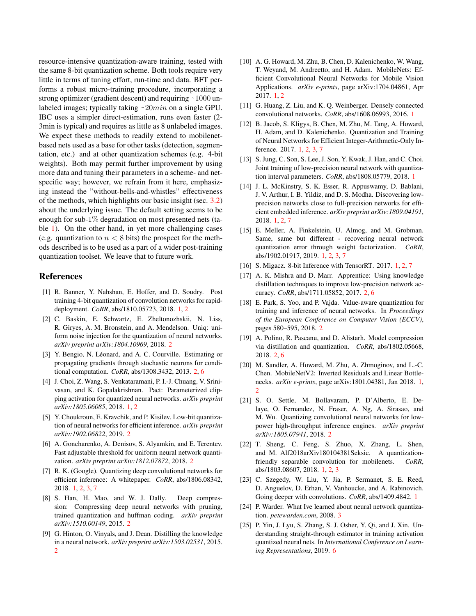resource-intensive quantization-aware training, tested with the same 8-bit quantization scheme. Both tools require very little in terms of tuning effort, run-time and data. BFT performs a robust micro-training procedure, incorporating a strong optimizer (gradient descent) and requiring ~1000 unlabeled images; typically taking  $~20min$  on a single GPU. IBC uses a simpler direct-estimation, runs even faster (2- 3min is typical) and requires as little as 8 unlabeled images. We expect these methods to readily extend to mobilenetbased nets used as a base for other tasks (detection, segmentation, etc.) and at other quantization schemes (e.g. 4-bit weights). Both may permit further improvement by using more data and tuning their parameters in a scheme- and netspecific way; however, we refrain from it here, emphasizing instead the "without-bells-and-whistles" effectiveness of the methods, which highlights our basic insight (sec. [3.2\)](#page-2-1) about the underlying issue. The default setting seems to be enough for sub-1% degradation on most presented nets (table [1\)](#page-6-0). On the other hand, in yet more challenging cases (e.g. quantization to  $n < 8$  bits) the prospect for the methods described is to be used as a part of a wider post-training quantization toolset. We leave that to future work.

### References

- <span id="page-7-5"></span>[1] R. Banner, Y. Nahshan, E. Hoffer, and D. Soudry. Post training 4-bit quantization of convolution networks for rapiddeployment. *CoRR*, abs/1810.05723, 2018. [1,](#page-0-0) [2](#page-1-0)
- <span id="page-7-14"></span>[2] C. Baskin, E. Schwartz, E. Zheltonozhskii, N. Liss, R. Giryes, A. M. Bronstein, and A. Mendelson. Uniq: uniform noise injection for the quantization of neural networks. *arXiv preprint arXiv:1804.10969*, 2018. [2](#page-1-0)
- <span id="page-7-22"></span>[3] Y. Bengio, N. Léonard, and A. C. Courville. Estimating or propagating gradients through stochastic neurons for conditional computation. *CoRR*, abs/1308.3432, 2013. [2,](#page-1-0) [6](#page-5-3)
- <span id="page-7-6"></span>[4] J. Choi, Z. Wang, S. Venkataramani, P. I.-J. Chuang, V. Srinivasan, and K. Gopalakrishnan. Pact: Parameterized clipping activation for quantized neural networks. *arXiv preprint arXiv:1805.06085*, 2018. [1,](#page-0-0) [2](#page-1-0)
- <span id="page-7-17"></span>[5] Y. Choukroun, E. Kravchik, and P. Kisilev. Low-bit quantization of neural networks for efficient inference. *arXiv preprint arXiv:1902.06822*, 2019. [2](#page-1-0)
- <span id="page-7-18"></span>[6] A. Goncharenko, A. Denisov, S. Alyamkin, and E. Terentev. Fast adjustable threshold for uniform neural network quantization. *arXiv preprint arXiv:1812.07872*, 2018. [2](#page-1-0)
- <span id="page-7-3"></span>[7] R. K. (Google). Quantizing deep convolutional networks for efficient inference: A whitepaper. *CoRR*, abs/1806.08342, 2018. [1,](#page-0-0) [2,](#page-1-0) [3,](#page-2-7) [7](#page-6-1)
- <span id="page-7-15"></span>[8] S. Han, H. Mao, and W. J. Dally. Deep compression: Compressing deep neural networks with pruning, trained quantization and huffman coding. *arXiv preprint arXiv:1510.00149*, 2015. [2](#page-1-0)
- <span id="page-7-20"></span>[9] G. Hinton, O. Vinyals, and J. Dean. Distilling the knowledge in a neural network. *arXiv preprint arXiv:1503.02531*, 2015.  $\overline{2}$  $\overline{2}$  $\overline{2}$
- <span id="page-7-0"></span>[10] A. G. Howard, M. Zhu, B. Chen, D. Kalenichenko, W. Wang, T. Weyand, M. Andreetto, and H. Adam. MobileNets: Efficient Convolutional Neural Networks for Mobile Vision Applications. *arXiv e-prints*, page arXiv:1704.04861, Apr 2017. [1,](#page-0-0) [2](#page-1-0)
- <span id="page-7-9"></span>[11] G. Huang, Z. Liu, and K. Q. Weinberger. Densely connected convolutional networks. *CoRR*, abs/1608.06993, 2016. [1](#page-0-0)
- <span id="page-7-2"></span>[12] B. Jacob, S. Kligys, B. Chen, M. Zhu, M. Tang, A. Howard, H. Adam, and D. Kalenichenko. Quantization and Training of Neural Networks for Efficient Integer-Arithmetic-Only Inference. 2017. [1,](#page-0-0) [2,](#page-1-0) [3,](#page-2-7) [7](#page-6-1)
- <span id="page-7-7"></span>[13] S. Jung, C. Son, S. Lee, J. Son, Y. Kwak, J. Han, and C. Choi. Joint training of low-precision neural network with quantization interval parameters. *CoRR*, abs/1808.05779, 2018. [1](#page-0-0)
- <span id="page-7-4"></span>[14] J. L. McKinstry, S. K. Esser, R. Appuswamy, D. Bablani, J. V. Arthur, I. B. Yildiz, and D. S. Modha. Discovering lowprecision networks close to full-precision networks for efficient embedded inference. *arXiv preprint arXiv:1809.04191*, 2018. [1,](#page-0-0) [2,](#page-1-0) [7](#page-6-1)
- <span id="page-7-11"></span>[15] E. Meller, A. Finkelstein, U. Almog, and M. Grobman. Same, same but different - recovering neural network quantization error through weight factorization. *CoRR*, abs/1902.01917, 2019. [1,](#page-0-0) [2,](#page-1-0) [3,](#page-2-7) [7](#page-6-1)
- <span id="page-7-12"></span>[16] S. Migacz. 8-bit Inference with TensorRT. 2017. [1,](#page-0-0) [2,](#page-1-0) [7](#page-6-1)
- <span id="page-7-21"></span>[17] A. K. Mishra and D. Marr. Apprentice: Using knowledge distillation techniques to improve low-precision network accuracy. *CoRR*, abs/1711.05852, 2017. [2,](#page-1-0) [6](#page-5-3)
- <span id="page-7-16"></span>[18] E. Park, S. Yoo, and P. Vajda. Value-aware quantization for training and inference of neural networks. In *Proceedings of the European Conference on Computer Vision (ECCV)*, pages 580–595, 2018. [2](#page-1-0)
- <span id="page-7-19"></span>[19] A. Polino, R. Pascanu, and D. Alistarh. Model compression via distillation and quantization. *CoRR*, abs/1802.05668, 2018. [2,](#page-1-0) [6](#page-5-3)
- <span id="page-7-1"></span>[20] M. Sandler, A. Howard, M. Zhu, A. Zhmoginov, and L.-C. Chen. MobileNetV2: Inverted Residuals and Linear Bottlenecks. *arXiv e-prints*, page arXiv:1801.04381, Jan 2018. [1,](#page-0-0) [2](#page-1-0)
- <span id="page-7-13"></span>[21] S. O. Settle, M. Bollavaram, P. D'Alberto, E. Delaye, O. Fernandez, N. Fraser, A. Ng, A. Sirasao, and M. Wu. Quantizing convolutional neural networks for lowpower high-throughput inference engines. *arXiv preprint arXiv:1805.07941*, 2018. [2](#page-1-0)
- <span id="page-7-10"></span>[22] T. Sheng, C. Feng, S. Zhuo, X. Zhang, L. Shen, and M. Alf2018arXiv180104381Seksic. A quantizationfriendly separable convolution for mobilenets. *CoRR*, abs/1803.08607, 2018. [1,](#page-0-0) [2,](#page-1-0) [3](#page-2-7)
- <span id="page-7-8"></span>[23] C. Szegedy, W. Liu, Y. Jia, P. Sermanet, S. E. Reed, D. Anguelov, D. Erhan, V. Vanhoucke, and A. Rabinovich. Going deeper with convolutions. *CoRR*, abs/1409.4842. [1](#page-0-0)
- <span id="page-7-23"></span>[24] P. Warder. What Ive learned about neural network quantization. *petewarden.com*, 2008. [3](#page-2-7)
- <span id="page-7-24"></span>[25] P. Yin, J. Lyu, S. Zhang, S. J. Osher, Y. Qi, and J. Xin. Understanding straight-through estimator in training activation quantized neural nets. In *International Conference on Learning Representations*, 2019. [6](#page-5-3)